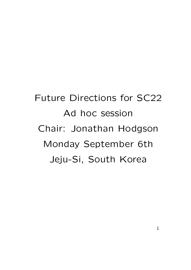Future Directions for SC22 Ad hoc session Chair: Jonathan Hodgson Monday September 6th Jeju-Si, South Korea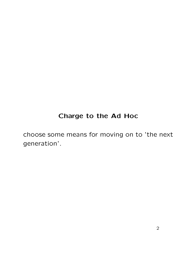### Charge to the Ad Hoc

choose some means for moving on to 'the next generation'.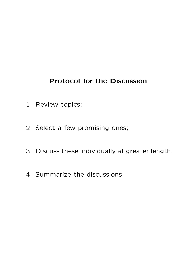### Protocol for the Discussion

- 1. Review topics;
- 2. Select a few promising ones;
- 3. Discuss these individually at greater length.
- 4. Summarize the discussions.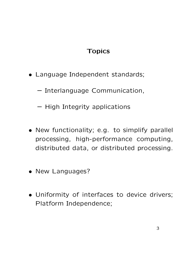## **Topics**

- Language Independent standards;
	- Interlanguage Communication,
	- High Integrity applications
- New functionality; e.g. to simplify parallel processing, high-performance computing, distributed data, or distributed processing.
- New Languages?
- Uniformity of interfaces to device drivers; Platform Independence;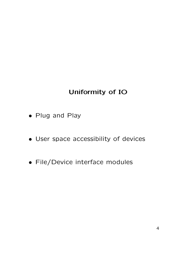# Uniformity of IO

- Plug and Play
- User space accessibility of devices
- File/Device interface modules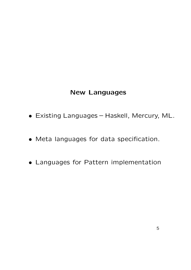#### New Languages

- Existing Languages Haskell, Mercury, ML.
- Meta languages for data specification.
- Languages for Pattern implementation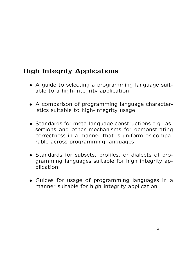## High Integrity Applications

- A guide to selecting a programming language suitable to a high-integrity application
- A comparison of programming language characteristics suitable to high-integrity usage
- Standards for meta-language constructions e.g. assertions and other mechanisms for demonstrating correctness in a manner that is uniform or comparable across programming languages
- Standards for subsets, profiles, or dialects of programming languages suitable for high integrity application
- Guides for usage of programming languages in a manner suitable for high integrity application